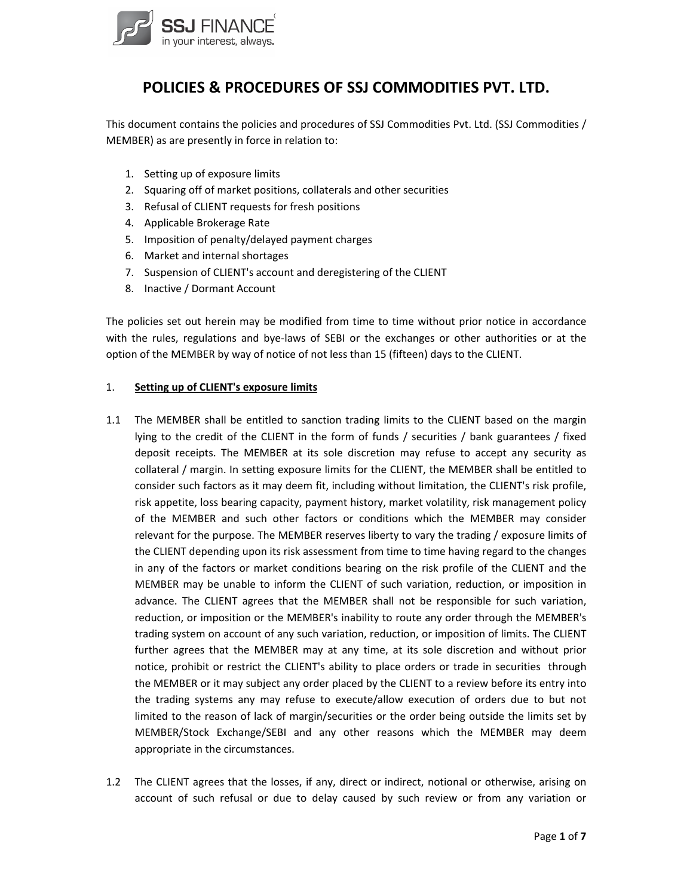

# **POLICIES & PROCEDURES OF SSJ COMMODITIES PVT. LTD.**

This document contains the policies and procedures of SSJ Commodities Pvt. Ltd. (SSJ Commodities / MEMBER) as are presently in force in relation to:

- 1. Setting up of exposure limits
- 2. Squaring off of market positions, collaterals and other securities
- 3. Refusal of CLIENT requests for fresh positions
- 4. Applicable Brokerage Rate
- 5. Imposition of penalty/delayed payment charges
- 6. Market and internal shortages
- 7. Suspension of CLIENT's account and deregistering of the CLIENT
- 8. Inactive / Dormant Account

The policies set out herein may be modified from time to time without prior notice in accordance with the rules, regulations and bye-laws of SEBI or the exchanges or other authorities or at the option of the MEMBER by way of notice of not less than 15 (fifteen) days to the CLIENT.

#### 1. **Setting up of CLIENT's exposure limits**

- 1.1 The MEMBER shall be entitled to sanction trading limits to the CLIENT based on the margin lying to the credit of the CLIENT in the form of funds / securities / bank guarantees / fixed deposit receipts. The MEMBER at its sole discretion may refuse to accept any security as collateral / margin. In setting exposure limits for the CLIENT, the MEMBER shall be entitled to consider such factors as it may deem fit, including without limitation, the CLIENT's risk profile, risk appetite, loss bearing capacity, payment history, market volatility, risk management policy of the MEMBER and such other factors or conditions which the MEMBER may consider relevant for the purpose. The MEMBER reserves liberty to vary the trading / exposure limits of the CLIENT depending upon its risk assessment from time to time having regard to the changes in any of the factors or market conditions bearing on the risk profile of the CLIENT and the MEMBER may be unable to inform the CLIENT of such variation, reduction, or imposition in advance. The CLIENT agrees that the MEMBER shall not be responsible for such variation, reduction, or imposition or the MEMBER's inability to route any order through the MEMBER's trading system on account of any such variation, reduction, or imposition of limits. The CLIENT further agrees that the MEMBER may at any time, at its sole discretion and without prior notice, prohibit or restrict the CLIENT's ability to place orders or trade in securities through the MEMBER or it may subject any order placed by the CLIENT to a review before its entry into the trading systems any may refuse to execute/allow execution of orders due to but not limited to the reason of lack of margin/securities or the order being outside the limits set by MEMBER/Stock Exchange/SEBI and any other reasons which the MEMBER may deem appropriate in the circumstances.
- 1.2 The CLIENT agrees that the losses, if any, direct or indirect, notional or otherwise, arising on account of such refusal or due to delay caused by such review or from any variation or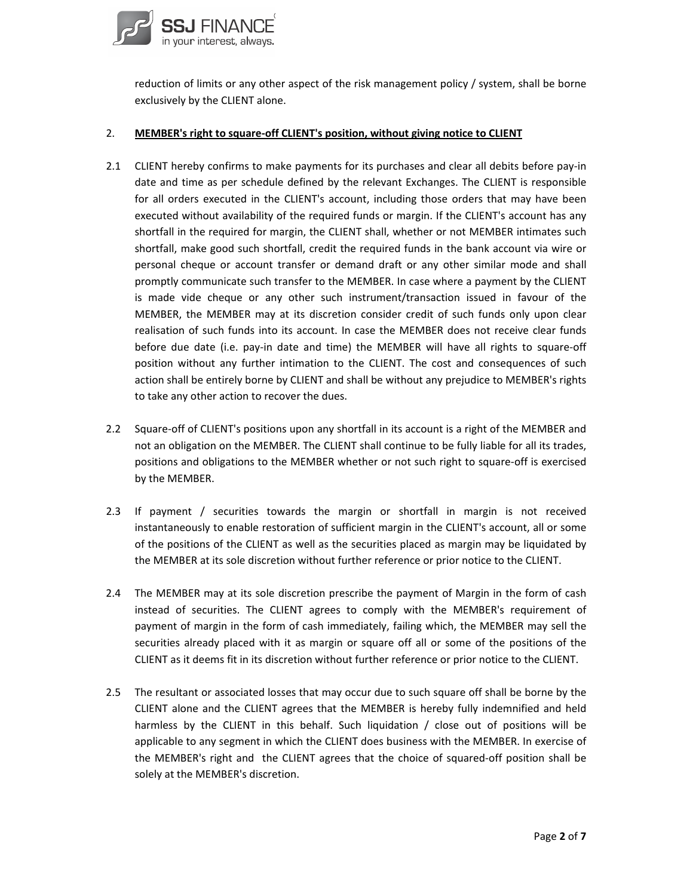

reduction of limits or any other aspect of the risk management policy / system, shall be borne exclusively by the CLIENT alone.

### 2. **MEMBER's right to square‐off CLIENT's position, without giving notice to CLIENT**

- 2.1 CLIENT hereby confirms to make payments for its purchases and clear all debits before pay‐in date and time as per schedule defined by the relevant Exchanges. The CLIENT is responsible for all orders executed in the CLIENT's account, including those orders that may have been executed without availability of the required funds or margin. If the CLIENT's account has any shortfall in the required for margin, the CLIENT shall, whether or not MEMBER intimates such shortfall, make good such shortfall, credit the required funds in the bank account via wire or personal cheque or account transfer or demand draft or any other similar mode and shall promptly communicate such transfer to the MEMBER. In case where a payment by the CLIENT is made vide cheque or any other such instrument/transaction issued in favour of the MEMBER, the MEMBER may at its discretion consider credit of such funds only upon clear realisation of such funds into its account. In case the MEMBER does not receive clear funds before due date (i.e. pay-in date and time) the MEMBER will have all rights to square-off position without any further intimation to the CLIENT. The cost and consequences of such action shall be entirely borne by CLIENT and shall be without any prejudice to MEMBER's rights to take any other action to recover the dues.
- 2.2 Square-off of CLIENT's positions upon any shortfall in its account is a right of the MEMBER and not an obligation on the MEMBER. The CLIENT shall continue to be fully liable for all its trades, positions and obligations to the MEMBER whether or not such right to square‐off is exercised by the MEMBER.
- 2.3 If payment / securities towards the margin or shortfall in margin is not received instantaneously to enable restoration of sufficient margin in the CLIENT's account, all or some of the positions of the CLIENT as well as the securities placed as margin may be liquidated by the MEMBER at its sole discretion without further reference or prior notice to the CLIENT.
- 2.4 The MEMBER may at its sole discretion prescribe the payment of Margin in the form of cash instead of securities. The CLIENT agrees to comply with the MEMBER's requirement of payment of margin in the form of cash immediately, failing which, the MEMBER may sell the securities already placed with it as margin or square off all or some of the positions of the CLIENT as it deems fit in its discretion without further reference or prior notice to the CLIENT.
- 2.5 The resultant or associated losses that may occur due to such square off shall be borne by the CLIENT alone and the CLIENT agrees that the MEMBER is hereby fully indemnified and held harmless by the CLIENT in this behalf. Such liquidation / close out of positions will be applicable to any segment in which the CLIENT does business with the MEMBER. In exercise of the MEMBER's right and the CLIENT agrees that the choice of squared-off position shall be solely at the MEMBER's discretion.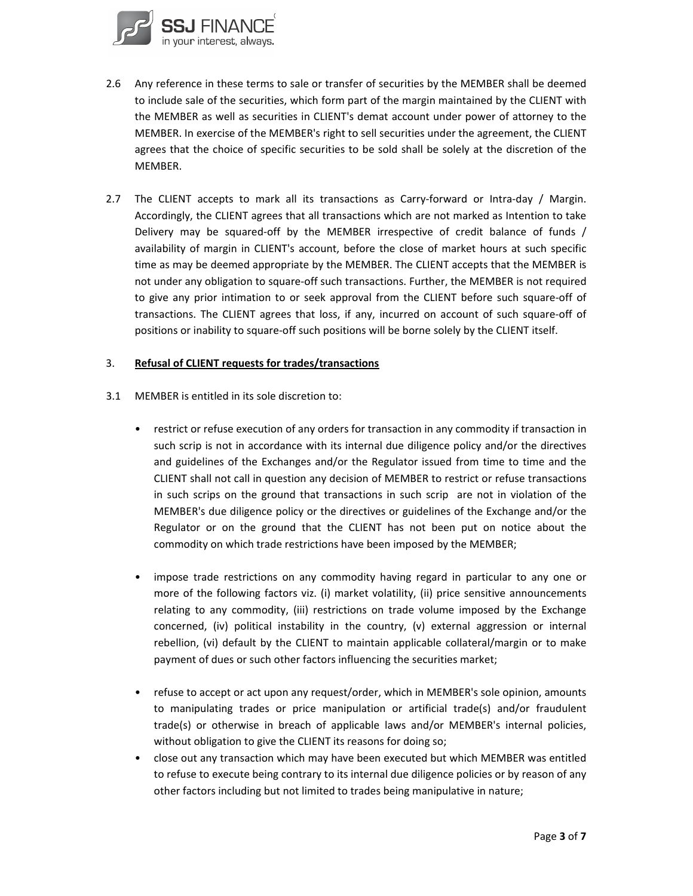

- 2.6 Any reference in these terms to sale or transfer of securities by the MEMBER shall be deemed to include sale of the securities, which form part of the margin maintained by the CLIENT with the MEMBER as well as securities in CLIENT's demat account under power of attorney to the MEMBER. In exercise of the MEMBER's right to sell securities under the agreement, the CLIENT agrees that the choice of specific securities to be sold shall be solely at the discretion of the MEMBER.
- 2.7 The CLIENT accepts to mark all its transactions as Carry-forward or Intra-day / Margin. Accordingly, the CLIENT agrees that all transactions which are not marked as Intention to take Delivery may be squared‐off by the MEMBER irrespective of credit balance of funds / availability of margin in CLIENT's account, before the close of market hours at such specific time as may be deemed appropriate by the MEMBER. The CLIENT accepts that the MEMBER is not under any obligation to square‐off such transactions. Further, the MEMBER is not required to give any prior intimation to or seek approval from the CLIENT before such square‐off of transactions. The CLIENT agrees that loss, if any, incurred on account of such square‐off of positions or inability to square‐off such positions will be borne solely by the CLIENT itself.

### 3. **Refusal of CLIENT requests for trades/transactions**

- 3.1 MEMBER is entitled in its sole discretion to:
	- restrict or refuse execution of any orders for transaction in any commodity if transaction in such scrip is not in accordance with its internal due diligence policy and/or the directives and guidelines of the Exchanges and/or the Regulator issued from time to time and the CLIENT shall not call in question any decision of MEMBER to restrict or refuse transactions in such scrips on the ground that transactions in such scrip are not in violation of the MEMBER's due diligence policy or the directives or guidelines of the Exchange and/or the Regulator or on the ground that the CLIENT has not been put on notice about the commodity on which trade restrictions have been imposed by the MEMBER;
	- impose trade restrictions on any commodity having regard in particular to any one or more of the following factors viz. (i) market volatility, (ii) price sensitive announcements relating to any commodity, (iii) restrictions on trade volume imposed by the Exchange concerned, (iv) political instability in the country, (v) external aggression or internal rebellion, (vi) default by the CLIENT to maintain applicable collateral/margin or to make payment of dues or such other factors influencing the securities market;
	- refuse to accept or act upon any request/order, which in MEMBER's sole opinion, amounts to manipulating trades or price manipulation or artificial trade(s) and/or fraudulent trade(s) or otherwise in breach of applicable laws and/or MEMBER's internal policies, without obligation to give the CLIENT its reasons for doing so;
	- close out any transaction which may have been executed but which MEMBER was entitled to refuse to execute being contrary to its internal due diligence policies or by reason of any other factors including but not limited to trades being manipulative in nature;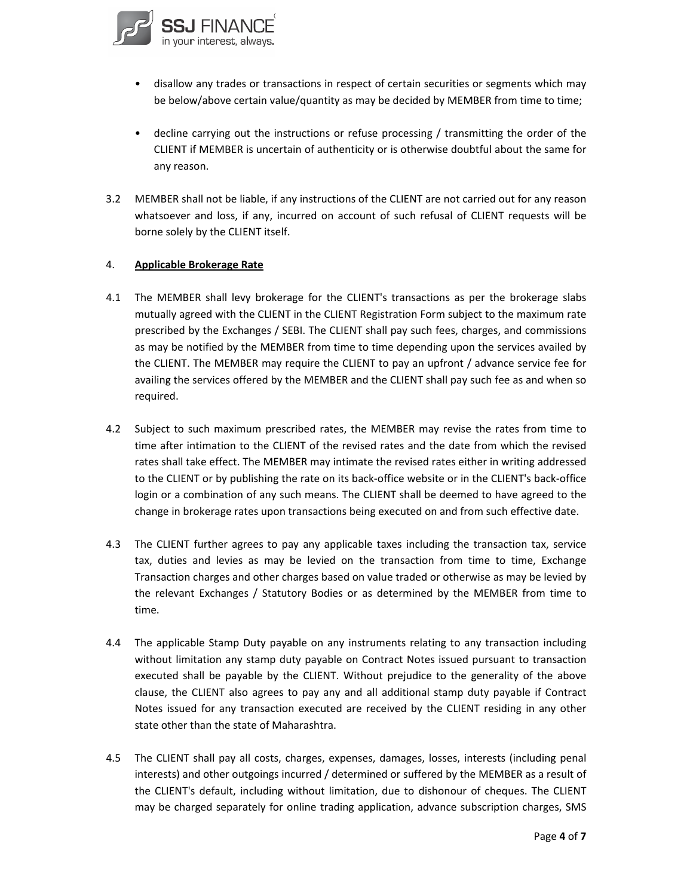

- disallow any trades or transactions in respect of certain securities or segments which may be below/above certain value/quantity as may be decided by MEMBER from time to time;
- decline carrying out the instructions or refuse processing / transmitting the order of the CLIENT if MEMBER is uncertain of authenticity or is otherwise doubtful about the same for any reason.
- 3.2 MEMBER shall not be liable, if any instructions of the CLIENT are not carried out for any reason whatsoever and loss, if any, incurred on account of such refusal of CLIENT requests will be borne solely by the CLIENT itself.

### 4. **Applicable Brokerage Rate**

- 4.1 The MEMBER shall levy brokerage for the CLIENT's transactions as per the brokerage slabs mutually agreed with the CLIENT in the CLIENT Registration Form subject to the maximum rate prescribed by the Exchanges / SEBI. The CLIENT shall pay such fees, charges, and commissions as may be notified by the MEMBER from time to time depending upon the services availed by the CLIENT. The MEMBER may require the CLIENT to pay an upfront / advance service fee for availing the services offered by the MEMBER and the CLIENT shall pay such fee as and when so required.
- 4.2 Subject to such maximum prescribed rates, the MEMBER may revise the rates from time to time after intimation to the CLIENT of the revised rates and the date from which the revised rates shall take effect. The MEMBER may intimate the revised rates either in writing addressed to the CLIENT or by publishing the rate on its back‐office website or in the CLIENT's back‐office login or a combination of any such means. The CLIENT shall be deemed to have agreed to the change in brokerage rates upon transactions being executed on and from such effective date.
- 4.3 The CLIENT further agrees to pay any applicable taxes including the transaction tax, service tax, duties and levies as may be levied on the transaction from time to time, Exchange Transaction charges and other charges based on value traded or otherwise as may be levied by the relevant Exchanges / Statutory Bodies or as determined by the MEMBER from time to time.
- 4.4 The applicable Stamp Duty payable on any instruments relating to any transaction including without limitation any stamp duty payable on Contract Notes issued pursuant to transaction executed shall be payable by the CLIENT. Without prejudice to the generality of the above clause, the CLIENT also agrees to pay any and all additional stamp duty payable if Contract Notes issued for any transaction executed are received by the CLIENT residing in any other state other than the state of Maharashtra.
- 4.5 The CLIENT shall pay all costs, charges, expenses, damages, losses, interests (including penal interests) and other outgoings incurred / determined or suffered by the MEMBER as a result of the CLIENT's default, including without limitation, due to dishonour of cheques. The CLIENT may be charged separately for online trading application, advance subscription charges, SMS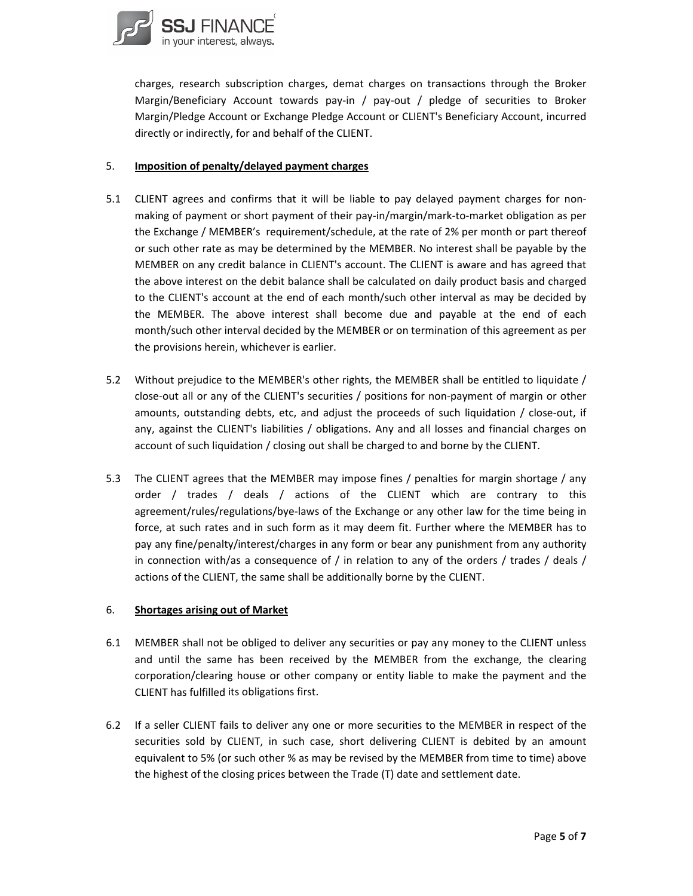

charges, research subscription charges, demat charges on transactions through the Broker Margin/Beneficiary Account towards pay-in / pay-out / pledge of securities to Broker Margin/Pledge Account or Exchange Pledge Account or CLIENT's Beneficiary Account, incurred directly or indirectly, for and behalf of the CLIENT.

### 5. **Imposition of penalty/delayed payment charges**

- 5.1 CLIENT agrees and confirms that it will be liable to pay delayed payment charges for nonmaking of payment or short payment of their pay‐in/margin/mark‐to‐market obligation as per the Exchange / MEMBER's requirement/schedule, at the rate of 2% per month or part thereof or such other rate as may be determined by the MEMBER. No interest shall be payable by the MEMBER on any credit balance in CLIENT's account. The CLIENT is aware and has agreed that the above interest on the debit balance shall be calculated on daily product basis and charged to the CLIENT's account at the end of each month/such other interval as may be decided by the MEMBER. The above interest shall become due and payable at the end of each month/such other interval decided by the MEMBER or on termination of this agreement as per the provisions herein, whichever is earlier.
- 5.2 Without prejudice to the MEMBER's other rights, the MEMBER shall be entitled to liquidate / close-out all or any of the CLIENT's securities / positions for non-payment of margin or other amounts, outstanding debts, etc, and adjust the proceeds of such liquidation / close-out, if any, against the CLIENT's liabilities / obligations. Any and all losses and financial charges on account of such liquidation / closing out shall be charged to and borne by the CLIENT.
- 5.3 The CLIENT agrees that the MEMBER may impose fines / penalties for margin shortage / any order / trades / deals / actions of the CLIENT which are contrary to this agreement/rules/regulations/bye‐laws of the Exchange or any other law for the time being in force, at such rates and in such form as it may deem fit. Further where the MEMBER has to pay any fine/penalty/interest/charges in any form or bear any punishment from any authority in connection with/as a consequence of / in relation to any of the orders / trades / deals / actions of the CLIENT, the same shall be additionally borne by the CLIENT.

## 6. **Shortages arising out of Market**

- 6.1 MEMBER shall not be obliged to deliver any securities or pay any money to the CLIENT unless and until the same has been received by the MEMBER from the exchange, the clearing corporation/clearing house or other company or entity liable to make the payment and the CLIENT has fulfilled its obligations first.
- 6.2 If a seller CLIENT fails to deliver any one or more securities to the MEMBER in respect of the securities sold by CLIENT, in such case, short delivering CLIENT is debited by an amount equivalent to 5% (or such other % as may be revised by the MEMBER from time to time) above the highest of the closing prices between the Trade (T) date and settlement date.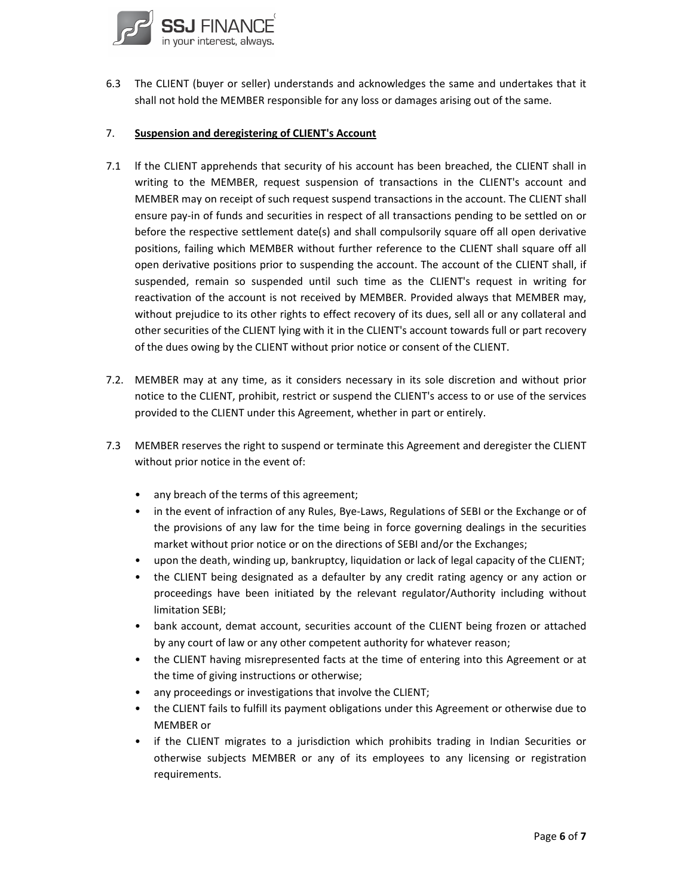

6.3 The CLIENT (buyer or seller) understands and acknowledges the same and undertakes that it shall not hold the MEMBER responsible for any loss or damages arising out of the same.

### 7. **Suspension and deregistering of CLIENT's Account**

- 7.1 lf the CLIENT apprehends that security of his account has been breached, the CLIENT shall in writing to the MEMBER, request suspension of transactions in the CLIENT's account and MEMBER may on receipt of such request suspend transactions in the account. The CLIENT shall ensure pay‐in of funds and securities in respect of all transactions pending to be settled on or before the respective settlement date(s) and shall compulsorily square off all open derivative positions, failing which MEMBER without further reference to the CLIENT shall square off all open derivative positions prior to suspending the account. The account of the CLIENT shall, if suspended, remain so suspended until such time as the CLIENT's request in writing for reactivation of the account is not received by MEMBER. Provided always that MEMBER may, without prejudice to its other rights to effect recovery of its dues, sell all or any collateral and other securities of the CLIENT lying with it in the CLIENT's account towards full or part recovery of the dues owing by the CLIENT without prior notice or consent of the CLIENT.
- 7.2. MEMBER may at any time, as it considers necessary in its sole discretion and without prior notice to the CLIENT, prohibit, restrict or suspend the CLIENT's access to or use of the services provided to the CLIENT under this Agreement, whether in part or entirely.
- 7.3 MEMBER reserves the right to suspend or terminate this Agreement and deregister the CLIENT without prior notice in the event of:
	- any breach of the terms of this agreement;
	- in the event of infraction of any Rules, Bye-Laws, Regulations of SEBI or the Exchange or of the provisions of any law for the time being in force governing dealings in the securities market without prior notice or on the directions of SEBI and/or the Exchanges;
	- upon the death, winding up, bankruptcy, liquidation or lack of legal capacity of the CLIENT;
	- the CLIENT being designated as a defaulter by any credit rating agency or any action or proceedings have been initiated by the relevant regulator/Authority including without limitation SEBI;
	- bank account, demat account, securities account of the CLIENT being frozen or attached by any court of law or any other competent authority for whatever reason;
	- the CLIENT having misrepresented facts at the time of entering into this Agreement or at the time of giving instructions or otherwise;
	- any proceedings or investigations that involve the CLIENT;
	- the CLIENT fails to fulfill its payment obligations under this Agreement or otherwise due to MEMBER or
	- if the CLIENT migrates to a jurisdiction which prohibits trading in Indian Securities or otherwise subjects MEMBER or any of its employees to any licensing or registration requirements.